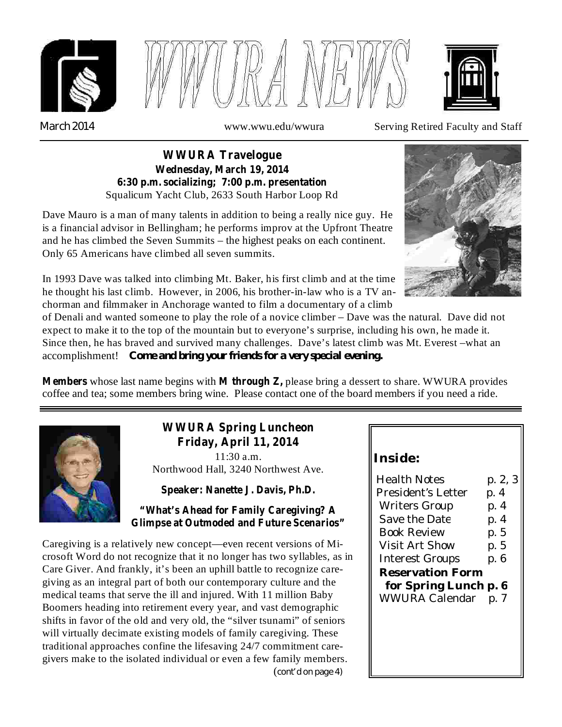





*March 2014*

www.wwu.edu/wwura Serving Retired Faculty and Staff

#### Squalicum Yacht Club, 2633 South Harbor Loop Rd **WWURA Travelogue Wednesday, March 19, 2014 6:30 p.m. socializing; 7:00 p.m. presentation**

Dave Mauro is a man of many talents in addition to being a really nice guy. He is a financial advisor in Bellingham; he performs improv at the Upfront Theatre and he has climbed the Seven Summits – the highest peaks on each continent. Only 65 Americans have climbed all seven summits.



In 1993 Dave was talked into climbing Mt. Baker, his first climb and at the time he thought his last climb. However, in 2006, his brother-in-law who is a TV anchorman and filmmaker in Anchorage wanted to film a documentary of a climb

of Denali and wanted someone to play the role of a novice climber – Dave was the natural. Dave did not expect to make it to the top of the mountain but to everyone's surprise, including his own, he made it. Since then, he has braved and survived many challenges. Dave's latest climb was Mt. Everest –what an accomplishment! *Come and bring your friends for a very special evening.*

**Members** whose last name begins with **M** through Z, please bring a dessert to share. WWURA provides coffee and tea; some members bring wine. Please contact one of the board members if you need a ride.



# **WWURA Spring Luncheon Friday, April 11, 2014**

11:30 a.m. Northwood Hall, 3240 Northwest Ave.

**Speaker: Nanette J. Davis, Ph.D.**

### **"What's Ahead for Family Caregiving? A Glimpse at Outmoded and Future Scenarios"**

*cont'd on page 4)* ( Caregiving is a relatively new concept—even recent versions of Microsoft Word do not recognize that it no longer has two syllables, as in Care Giver. And frankly, it's been an uphill battle to recognize caregiving as an integral part of both our contemporary culture and the medical teams that serve the ill and injured. With 11 million Baby Boomers heading into retirement every year, and vast demographic shifts in favor of the old and very old, the "silver tsunami" of seniors will virtually decimate existing models of family caregiving. These traditional approaches confine the lifesaving 24/7 commitment caregivers make to the isolated individual or even a few family members.

## **Inside:**

| <b>Health Notes</b>   | p. 2, 3 |
|-----------------------|---------|
| President's Letter    | p. 4    |
| Writers Group         | p. 4    |
| Save the Date         | p. 4    |
| Book Review           | p. 5    |
| <b>Visit Art Show</b> | p. 5    |
| Interest Groups       | p. 6    |
| Reservation Form      |         |
| for Spring Lunch p. 6 |         |
| <b>WWURA Calendar</b> | p. 7    |
|                       |         |
|                       |         |
|                       |         |
|                       |         |
|                       |         |
|                       |         |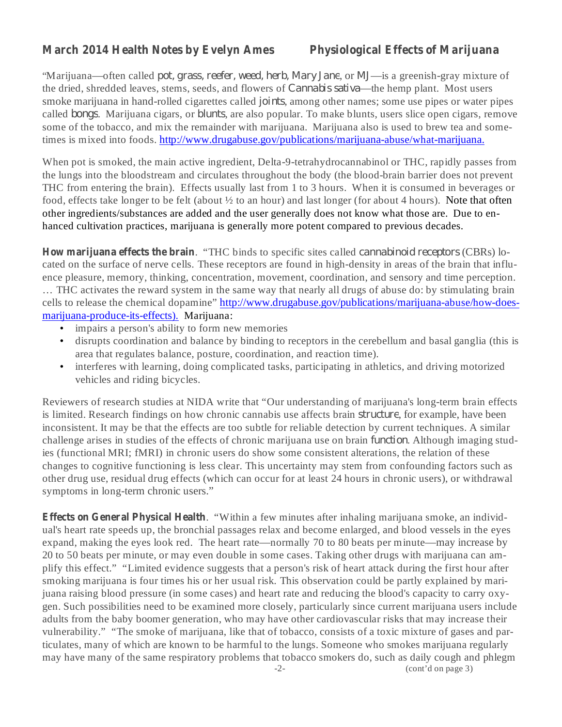## **March 2014 Health Notes by Evelyn Ames Physiological Effects of Marijuana**

"Marijuana—often called *pot, grass, reefer, weed, herb, Mary Jane, or MJ—is a greenish-gray mixture of* the dried, shredded leaves, stems, seeds, and flowers of *Cannabis sativa*—the hemp plant. Most users smoke marijuana in hand-rolled cigarettes called *joints*, among other names; some use pipes or water pipes called *bongs*. Marijuana cigars, or *blunts*, are also popular. To make blunts, users slice open cigars, remove some of the tobacco, and mix the remainder with marijuana. Marijuana also is used to brew tea and sometimes is mixed into foods. http://www.drugabuse.gov/publications/marijuana-abuse/what-marijuana.

When pot is smoked, the main active ingredient, Delta-9-tetrahydrocannabinol or THC, rapidly passes from the lungs into the bloodstream and circulates throughout the body (the blood-brain barrier does not prevent THC from entering the brain). Effects usually last from 1 to 3 hours. When it is consumed in beverages or food, effects take longer to be felt (about ½ to an hour) and last longer (for about 4 hours). Note that often other ingredients/substances are added and the user generally does not know what those are. Due to enhanced cultivation practices, marijuana is generally more potent compared to previous decades.

How marijuana effects the brain. "THC binds to specific sites called *cannabinoid receptors* (CBRs) located on the surface of nerve cells. These receptors are found in high-density in areas of the brain that influence pleasure, memory, thinking, concentration, movement, coordination, and sensory and time perception. … THC activates the reward system in the same way that nearly all drugs of abuse do: by stimulating brain cells to release the chemical dopamine" http://www.drugabuse.gov/publications/marijuana-abuse/how-doesmarijuana-produce-its-effects). Marijuana:

- impairs a person's ability to form new memories •
- disrupts coordination and balance by binding to receptors in the cerebellum and basal ganglia (this is area that regulates balance, posture, coordination, and reaction time). •
- interferes with learning, doing complicated tasks, participating in athletics, and driving motorized vehicles and riding bicycles. •

Reviewers of research studies at NIDA write that "Our understanding of marijuana's long-term brain effects is limited. Research findings on how chronic cannabis use affects brain *structure*, for example, have been inconsistent. It may be that the effects are too subtle for reliable detection by current techniques. A similar challenge arises in studies of the effects of chronic marijuana use on brain *function*. Although imaging studies (functional MRI; fMRI) in chronic users do show some consistent alterations, the relation of these changes to cognitive functioning is less clear. This uncertainty may stem from confounding factors such as other drug use, residual drug effects (which can occur for at least 24 hours in chronic users), or withdrawal symptoms in long-term chronic users."

**Effects on General Physical Health** . "Within a few minutes after inhaling marijuana smoke, an individual's heart rate speeds up, the bronchial passages relax and become enlarged, and blood vessels in the eyes expand, making the eyes look red. The heart rate—normally 70 to 80 beats per minute—may increase by 20 to 50 beats per minute, or may even double in some cases. Taking other drugs with marijuana can amplify this effect." "Limited evidence suggests that a person's risk of heart attack during the first hour after smoking marijuana is four times his or her usual risk. This observation could be partly explained by marijuana raising blood pressure (in some cases) and heart rate and reducing the blood's capacity to carry oxygen. Such possibilities need to be examined more closely, particularly since current marijuana users include adults from the baby boomer generation, who may have other cardiovascular risks that may increase their vulnerability." "The smoke of marijuana, like that of tobacco, consists of a toxic mixture of gases and particulates, many of which are known to be harmful to the lungs. Someone who smokes marijuana regularly may have many of the same respiratory problems that tobacco smokers do, such as daily cough and phlegm

-2- (cont'd on page 3)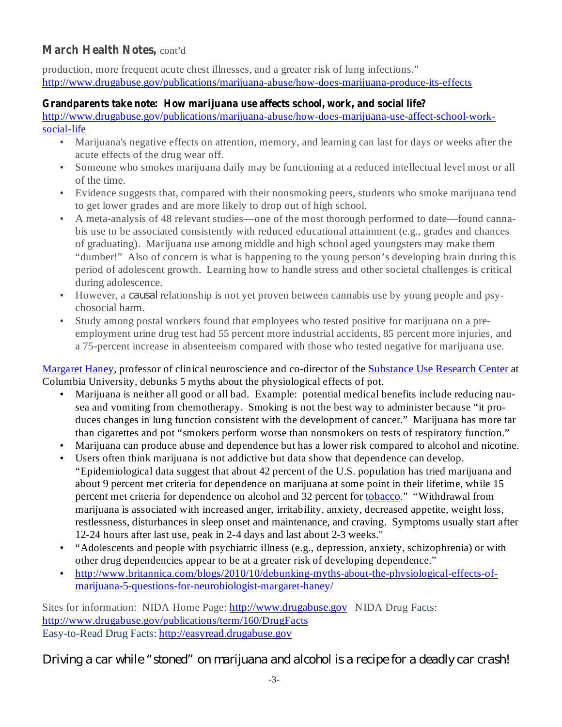## March Health Notes, cont'd

production, more frequent acute chest illnesses, and a greater risk of lung infections." http://www.drugabuse.gov/publications/marijuana-abuse/how-does-marijuana-produce-its-effects

### **Grandparents take note: How marijuana use affects school, work, and social life?**

http://www.drugabuse.gov/publications/marijuana-abuse/how-does-marijuana-use-affect-school-worksocial-life

- Marijuana's negative effects on attention, memory, and learning can last for days or weeks after the acute effects of the drug wear off. •
- Someone who smokes marijuana daily may be functioning at a reduced intellectual level most or all of the time. •
- Evidence suggests that, compared with their nonsmoking peers, students who smoke marijuana tend to get lower grades and are more likely to drop out of high school.
- A meta-analysis of 48 relevant studies—one of the most thorough performed to date—found cannabis use to be associated consistently with reduced educational attainment (e.g., grades and chances of graduating). Marijuana use among middle and high school aged youngsters may make them "dumber!" Also of concern is what is happening to the young person's developing brain during this period of adolescent growth. Learning how to handle stress and other societal challenges is critical during adolescence. •
- However, a *causal* relationship is not yet proven between cannabis use by young people and psychosocial harm.
- Study among postal workers found that employees who tested positive for marijuana on a preemployment urine drug test had 55 percent more industrial accidents, 85 percent more injuries, and a 75-percent increase in absenteeism compared with those who tested negative for marijuana use.

Margaret Haney, professor of clinical neuroscience and co-director of the Substance Use Research Center at Columbia University, debunks 5 myths about the physiological effects of pot.

- Marijuana is neither all good or all bad. Example: potential medical benefits include reducing nausea and vomiting from chemotherapy. Smoking is not the best way to administer because "it produces changes in lung function consistent with the development of cancer." Marijuana has more tar than cigarettes and pot "smokers perform worse than nonsmokers on tests of respiratory function." •
- Marijuana can produce abuse and dependence but has a lower risk compared to alcohol and nicotine. •
- Users often think marijuana is not addictive but data show that dependence can develop. "Epidemiological data suggest that about 42 percent of the U.S. population has tried marijuana and about 9 percent met criteria for dependence on marijuana at some point in their lifetime, while 15 percent met criteria for dependence on alcohol and 32 percent for tobacco." "Withdrawal from marijuana is associated with increased anger, irritability, anxiety, decreased appetite, weight loss, restlessness, disturbances in sleep onset and maintenance, and craving. Symptoms usually start after 12-24 hours after last use, peak in 2-4 days and last about 2-3 weeks." •
- "Adolescents and people with psychiatric illness (e.g., depression, anxiety, schizophrenia) or with other drug dependencies appear to be at a greater risk of developing dependence."
- http://www.britannica.com/blogs/2010/10/debunking-myths-about-the-physiological-effects-ofmarijuana-5-questions-for-neurobiologist-margaret-haney/ •

Sites for information: NIDA Home Page: http://www.drugabuse.gov NIDA Drug Facts: http://www.drugabuse.gov/publications/term/160/DrugFacts Easy-to-Read Drug Facts: http://easyread.drugabuse.gov

*Driving a car while "stoned" on marijuana and alcohol is a recipe for a deadly car crash!*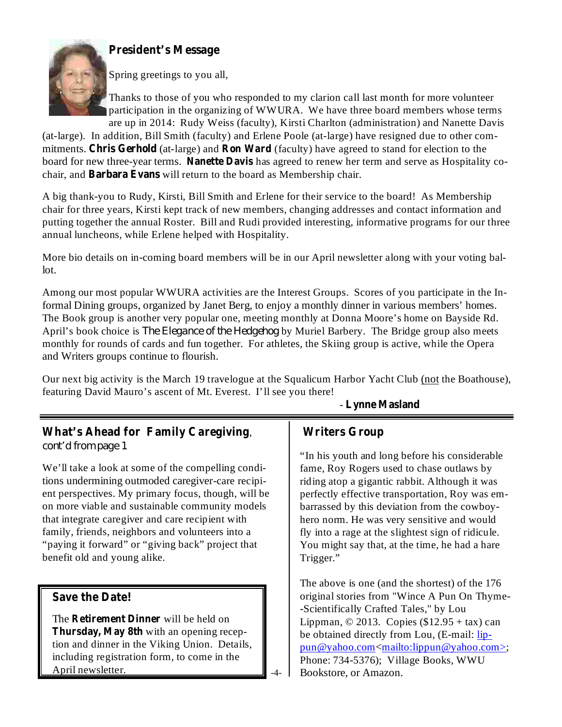



Spring greetings to you all,

Thanks to those of you who responded to my clarion call last month for more volunteer participation in the organizing of WWURA. We have three board members whose terms are up in 2014: Rudy Weiss (faculty), Kirsti Charlton (administration) and Nanette Davis

mitments. Chris Gerhold (at-large) and Ron Ward (faculty) have agreed to stand for election to the board for new three-year terms. Nanette Davis has agreed to renew her term and serve as Hospitality cochair, and Barbara Evans will return to the board as Membership chair. (at-large). In addition, Bill Smith (faculty) and Erlene Poole (at-large) have resigned due to other com-

A big thank-you to Rudy, Kirsti, Bill Smith and Erlene for their service to the board! As Membership chair for three years, Kirsti kept track of new members, changing addresses and contact information and putting together the annual Roster. Bill and Rudi provided interesting, informative programs for our three annual luncheons, while Erlene helped with Hospitality.

More bio details on in-coming board members will be in our April newsletter along with your voting ballot.

Among our most popular WWURA activities are the Interest Groups. Scores of you participate in the Informal Dining groups, organized by Janet Berg, to enjoy a monthly dinner in various members' homes. The Book group is another very popular one, meeting monthly at Donna Moore's home on Bayside Rd. April's book choice is *The Elegance of the Hedgehog* by Muriel Barbery. The Bridge group also meets monthly for rounds of cards and fun together. For athletes, the Skiing group is active, while the Opera and Writers groups continue to flourish.

Our next big activity is the March 19 travelogue at the Squalicum Harbor Yacht Club (not the Boathouse), featuring David Mauro's ascent of Mt. Everest. I'll see you there!

 $\overline{A}$ 

# **What's Ahead for Family Caregiving** ,

*cont'd from page 1*

We'll take a look at some of the compelling conditions undermining outmoded caregiver-care recipient perspectives. My primary focus, though, will be on more viable and sustainable community models that integrate caregiver and care recipient with family, friends, neighbors and volunteers into a "paying it forward" or "giving back" project that benefit old and young alike.

## **Save the Date!**

The Retirement Dinner will be held on **Thursday, May 8th** with an opening reception and dinner in the Viking Union. Details, including registration form, to come in the April newsletter.

## **Lynne Masland** -

## **Writers Group**

"In his youth and long before his considerable fame, Roy Rogers used to chase outlaws by riding atop a gigantic rabbit. Although it was perfectly effective transportation, Roy was embarrassed by this deviation from the cowboyhero norm. He was very sensitive and would fly into a rage at the slightest sign of ridicule. You might say that, at the time, he had a hare Trigger."

The above is one (and the shortest) of the 176 original stories from "Wince A Pun On Thyme- -Scientifically Crafted Tales," by Lou Lippman,  $\odot$  2013. Copies (\$12.95 + tax) can be obtained directly from Lou, (E-mail: lippun@yahoo.com<mailto:lippun@yahoo.com>; Phone: 734-5376); Village Books, WWU Bookstore, or Amazon.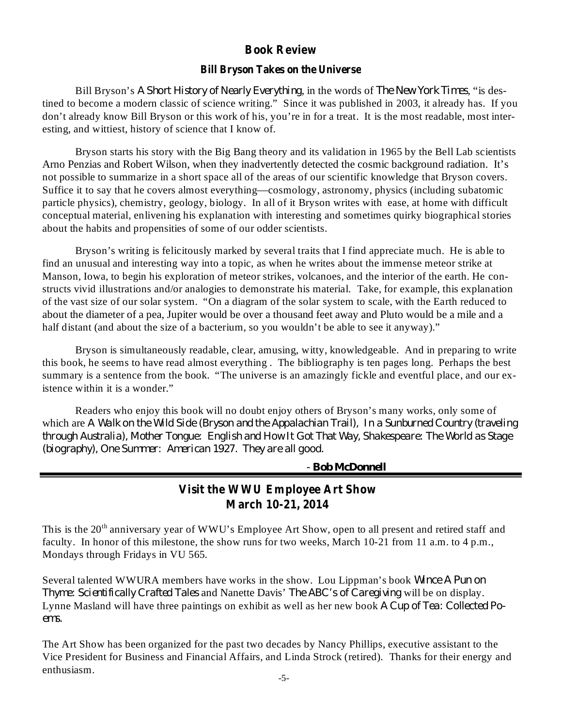#### **Book Review**

#### **Bill Bryson Takes on the Universe**

Bill Bryson's A *Short History of Nearly Everything*, in the words of *The New York Times*, "is destined to become a modern classic of science writing." Since it was published in 2003, it already has. If you don't already know Bill Bryson or this work of his, you're in for a treat. It is the most readable, most interesting, and wittiest, history of science that I know of.

Bryson starts his story with the Big Bang theory and its validation in 1965 by the Bell Lab scientists Arno Penzias and Robert Wilson, when they inadvertently detected the cosmic background radiation. It's not possible to summarize in a short space all of the areas of our scientific knowledge that Bryson covers. Suffice it to say that he covers almost everything—cosmology, astronomy, physics (including subatomic particle physics), chemistry, geology, biology. In all of it Bryson writes with ease, at home with difficult conceptual material, enlivening his explanation with interesting and sometimes quirky biographical stories about the habits and propensities of some of our odder scientists.

Bryson's writing is felicitously marked by several traits that I find appreciate much. He is able to find an unusual and interesting way into a topic, as when he writes about the immense meteor strike at Manson, Iowa, to begin his exploration of meteor strikes, volcanoes, and the interior of the earth. He constructs vivid illustrations and/or analogies to demonstrate his material. Take, for example, this explanation of the vast size of our solar system. "On a diagram of the solar system to scale, with the Earth reduced to about the diameter of a pea, Jupiter would be over a thousand feet away and Pluto would be a mile and a half distant (and about the size of a bacterium, so you wouldn't be able to see it anyway)."

Bryson is simultaneously readable, clear, amusing, witty, knowledgeable. And in preparing to write this book, he seems to have read almost everything . The bibliography is ten pages long. Perhaps the best summary is a sentence from the book. "The universe is an amazingly fickle and eventful place, and our existence within it is a wonder."

Readers who enjoy this book will no doubt enjoy others of Bryson's many works, only some of which are *A Walk on the Wild Side (Bryson and the Appalachian Trail), In a Sunburned Country (traveling through Australia), Mother Tongue: English and How It Got That Way, Shakespeare: The World as Stage (biography), One Summer: American 1927. They are all good.*

*- Bob McDonnell*

## **Visit the WWU Employee Art Show March 10-21, 2014**

This is the 20<sup>th</sup> anniversary year of WWU's Employee Art Show, open to all present and retired staff and faculty. In honor of this milestone, the show runs for two weeks, March 10-21 from 11 a.m. to 4 p.m., Mondays through Fridays in VU 565.

Several talented WWURA members have works in the show. Lou Lippman's book *Wince A Pun on Thyme: Scientifically Crafted Tales* and Nanette Davis' *The ABC's of Caregiving* will be on display. Lynne Masland will have three paintings on exhibit as well as her new book *A Cup of Tea: Collected Poems.*

The Art Show has been organized for the past two decades by Nancy Phillips, executive assistant to the Vice President for Business and Financial Affairs, and Linda Strock (retired). Thanks for their energy and enthusiasm.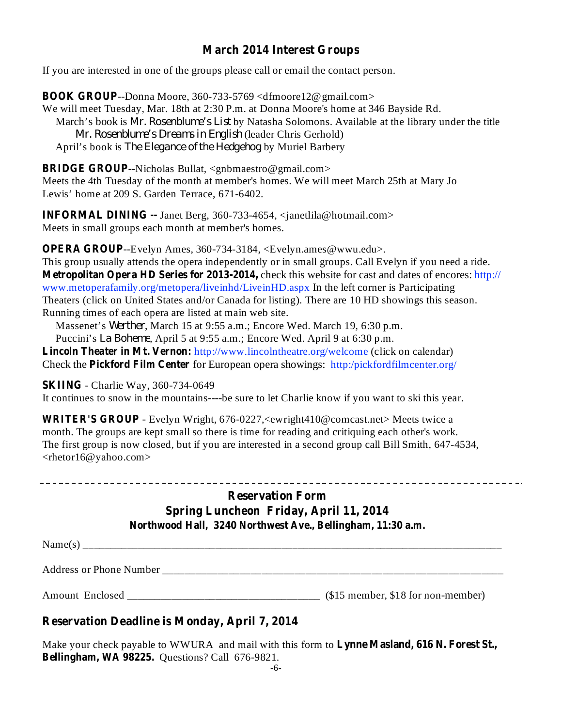## **March 2014 Interest Groups**

If you are interested in one of the groups please call or email the contact person.

**BOOK GROUP** --Donna Moore, 360-733-5769 <dfmoore12@gmail.com> We will meet Tuesday, Mar. 18th at 2:30 P.m. at Donna Moore's home at 346 Bayside Rd. March's book is *Mr. Rosenblume's List* by Natasha Solomons. Available at the library under the title (leader Chris Gerhold) *Mr. Rosenblume's Dreams in English* April's book is *The Elegance of the Hedgehog* by Muriel Barbery

**BRIDGE GROUP** --Nicholas Bullat, <gnbmaestro@gmail.com> Meets the 4th Tuesday of the month at member's homes. We will meet March 25th at Mary Jo Lewis' home at 209 S. Garden Terrace, 671-6402.

**INFORMAL DINING --** Janet Berg, 360-733-4654, <janetlila@hotmail.com> Meets in small groups each month at member's homes.

**OPERA GROUP**--Evelyn Ames, 360-734-3184, <Evelyn.ames@wwu.edu>.

**Metropolitan Opera HD Series for 2013-2014,** check this website for cast and dates of encores: http:// This group usually attends the opera independently or in small groups. Call Evelyn if you need a ride. www.metoperafamily.org/metopera/liveinhd/LiveinHD.aspx In the left corner is Participating Theaters (click on United States and/or Canada for listing). There are 10 HD showings this season. Running times of each opera are listed at main web site.

Massenet's Werther, March 15 at 9:55 a.m.; Encore Wed. March 19, 6:30 p.m.

Puccini's *La Boheme*, April 5 at 9:55 a.m.; Encore Wed. April 9 at 6:30 p.m.

**Lincoln Theater in Mt. Vernon:** http://www.lincolntheatre.org/welcome (click on calendar) **Check the Pickford Film Center** for European opera showings: http:/pickfordfilmcenter.org/

#### **SKIING** - Charlie Way, 360-734-0649

It continues to snow in the mountains----be sure to let Charlie know if you want to ski this year.

**WRITER'S GROUP** - Evelyn Wright, 676-0227,<ewright410@comcast.net> Meets twice a month. The groups are kept small so there is time for reading and critiquing each other's work. The first group is now closed, but if you are interested in a second group call Bill Smith, 647-4534, <rhetor16@yahoo.com>

## **Reservation Form Spring Luncheon Friday, April 11, 2014 Northwood Hall, 3240 Northwest Ave., Bellingham, 11:30 a.m.**

Name(s) \_\_\_\_\_\_\_\_\_\_\_\_\_\_\_\_\_\_\_\_\_\_\_\_\_\_\_\_\_\_\_\_\_\_\_\_\_\_\_\_\_\_\_\_\_\_\_\_\_\_\_\_\_\_\_\_\_\_\_\_\_\_\_\_\_\_\_\_\_\_\_\_\_\_\_\_

Address or Phone Number \_\_\_\_\_\_\_\_\_\_\_\_\_\_\_\_\_\_\_\_\_\_\_\_\_\_\_\_\_\_\_\_\_\_\_\_\_\_\_\_\_\_\_\_\_\_\_\_\_\_\_\_\_\_\_\_\_\_\_\_\_\_

Amount Enclosed \_\_\_\_\_\_\_\_\_\_\_\_\_\_\_\_\_\_\_\_\_\_\_\_\_\_\_\_\_\_\_\_\_\_\_ (\$15 member, \$18 for non-member)

## **Reservation Deadline is Monday, April 7, 2014**

Make your check payable to WWURA and mail with this form to **Lynne Masland, 616 N. Forest St.**, **Bellingham, WA 98225.** Questions? Call 676-9821.